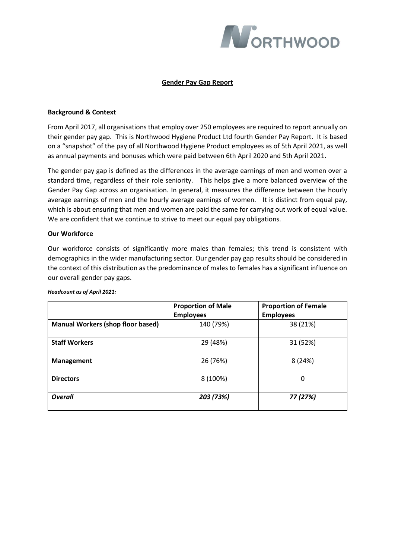

# **Gender Pay Gap Report**

## **Background & Context**

From April 2017, all organisations that employ over 250 employees are required to report annually on their gender pay gap. This is Northwood Hygiene Product Ltd fourth Gender Pay Report. It is based on a "snapshot" of the pay of all Northwood Hygiene Product employees as of 5th April 2021, as well as annual payments and bonuses which were paid between 6th April 2020 and 5th April 2021.

The gender pay gap is defined as the differences in the average earnings of men and women over a standard time, regardless of their role seniority. This helps give a more balanced overview of the Gender Pay Gap across an organisation. In general, it measures the difference between the hourly average earnings of men and the hourly average earnings of women. It is distinct from equal pay, which is about ensuring that men and women are paid the same for carrying out work of equal value. We are confident that we continue to strive to meet our equal pay obligations.

## **Our Workforce**

Our workforce consists of significantly more males than females; this trend is consistent with demographics in the wider manufacturing sector. Our gender pay gap results should be considered in the context of this distribution as the predominance of males to females has a significant influence on our overall gender pay gaps.

|                                          | <b>Proportion of Male</b><br><b>Employees</b> | <b>Proportion of Female</b><br><b>Employees</b> |
|------------------------------------------|-----------------------------------------------|-------------------------------------------------|
| <b>Manual Workers (shop floor based)</b> | 140 (79%)                                     | 38 (21%)                                        |
| <b>Staff Workers</b>                     | 29 (48%)                                      | 31 (52%)                                        |
| <b>Management</b>                        | 26 (76%)                                      | 8(24%)                                          |
| <b>Directors</b>                         | 8 (100%)                                      | 0                                               |
| <b>Overall</b>                           | 203 (73%)                                     | 77 (27%)                                        |

#### *Headcount as of April 2021:*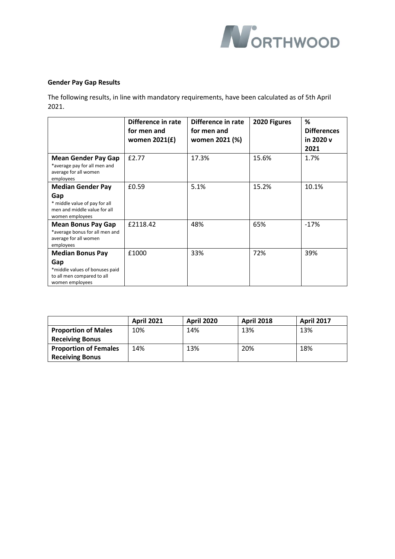

# **Gender Pay Gap Results**

The following results, in line with mandatory requirements, have been calculated as of 5th April 2021.

|                                                                                                                     | Difference in rate<br>for men and<br>women 2021(£) | Difference in rate<br>for men and<br>women 2021 (%) | 2020 Figures | ℅<br><b>Differences</b><br>in 2020 v<br>2021 |
|---------------------------------------------------------------------------------------------------------------------|----------------------------------------------------|-----------------------------------------------------|--------------|----------------------------------------------|
| <b>Mean Gender Pay Gap</b><br>*average pay for all men and<br>average for all women<br>employees                    | £2.77                                              | 17.3%                                               | 15.6%        | 1.7%                                         |
| <b>Median Gender Pay</b><br>Gap<br>* middle value of pay for all<br>men and middle value for all<br>women employees | £0.59                                              | 5.1%                                                | 15.2%        | 10.1%                                        |
| <b>Mean Bonus Pay Gap</b><br>*average bonus for all men and<br>average for all women<br>employees                   | £2118.42                                           | 48%                                                 | 65%          | $-17%$                                       |
| <b>Median Bonus Pay</b><br>Gap<br>*middle values of bonuses paid<br>to all men compared to all<br>women employees   | £1000                                              | 33%                                                 | 72%          | 39%                                          |

|                              | <b>April 2021</b> | <b>April 2020</b> | <b>April 2018</b> | <b>April 2017</b> |
|------------------------------|-------------------|-------------------|-------------------|-------------------|
| <b>Proportion of Males</b>   | 10%               | 14%               | 13%               | 13%               |
| <b>Receiving Bonus</b>       |                   |                   |                   |                   |
| <b>Proportion of Females</b> | 14%               | 13%               | 20%               | 18%               |
| <b>Receiving Bonus</b>       |                   |                   |                   |                   |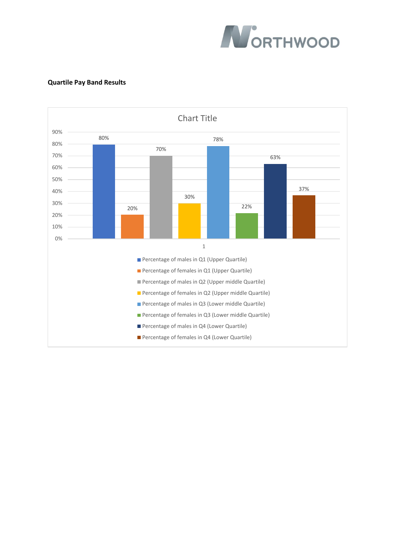

## **Quartile Pay Band Results**

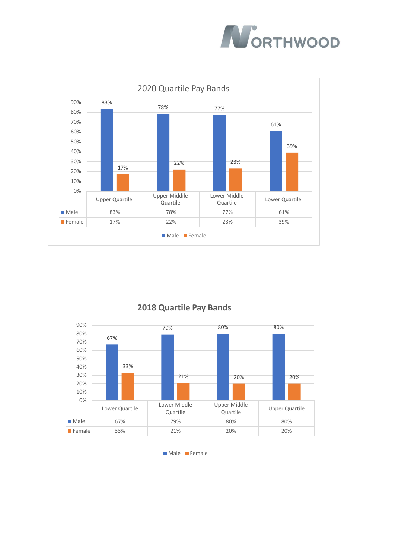



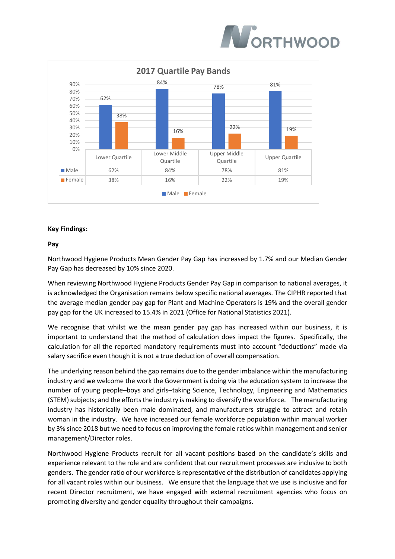



## **Key Findings:**

#### **Pay**

Northwood Hygiene Products Mean Gender Pay Gap has increased by 1.7% and our Median Gender Pay Gap has decreased by 10% since 2020.

When reviewing Northwood Hygiene Products Gender Pay Gap in comparison to national averages, it is acknowledged the Organisation remains below specific national averages. The CIPHR reported that the average median gender pay gap for Plant and Machine Operators is 19% and the overall gender pay gap for the UK increased to 15.4% in 2021 (Office for National Statistics 2021).

We recognise that whilst we the mean gender pay gap has increased within our business, it is important to understand that the method of calculation does impact the figures. Specifically, the calculation for all the reported mandatory requirements must into account "deductions" made via salary sacrifice even though it is not a true deduction of overall compensation.

The underlying reason behind the gap remains due to the gender imbalance within the manufacturing industry and we welcome the work the Government is doing via the education system to increase the number of young people–boys and girls–taking Science, Technology, Engineering and Mathematics (STEM) subjects; and the efforts the industry is making to diversify the workforce. The manufacturing industry has historically been male dominated, and manufacturers struggle to attract and retain woman in the industry. We have increased our female workforce population within manual worker by 3% since 2018 but we need to focus on improving the female ratios within management and senior management/Director roles.

Northwood Hygiene Products recruit for all vacant positions based on the candidate's skills and experience relevant to the role and are confident that our recruitment processes are inclusive to both genders. The gender ratio of our workforce is representative of the distribution of candidates applying for all vacant roles within our business. We ensure that the language that we use is inclusive and for recent Director recruitment, we have engaged with external recruitment agencies who focus on promoting diversity and gender equality throughout their campaigns.